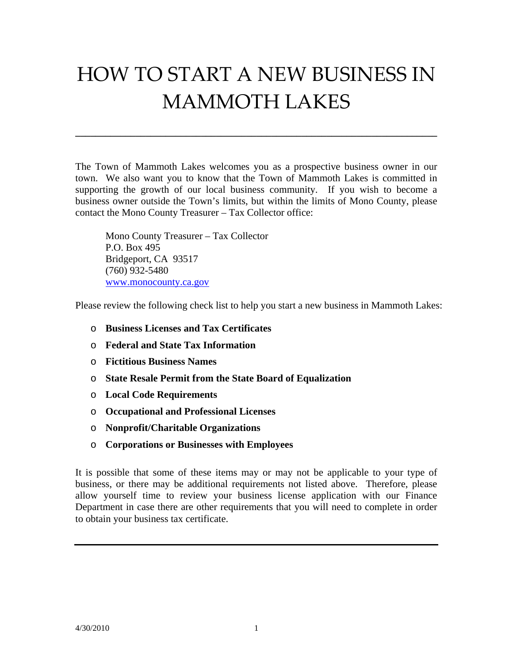# HOW TO START A NEW BUSINESS IN MAMMOTH LAKES

**\_\_\_\_\_\_\_\_\_\_\_\_\_\_\_\_\_\_\_\_\_\_\_\_\_\_\_\_\_\_\_\_\_\_\_\_\_\_\_\_\_\_\_\_\_\_\_\_\_\_\_\_\_\_\_\_\_\_\_\_\_\_\_\_\_\_\_\_\_\_\_\_** 

The Town of Mammoth Lakes welcomes you as a prospective business owner in our town. We also want you to know that the Town of Mammoth Lakes is committed in supporting the growth of our local business community. If you wish to become a business owner outside the Town's limits, but within the limits of Mono County, please contact the Mono County Treasurer – Tax Collector office:

Mono County Treasurer – Tax Collector P.O. Box 495 Bridgeport, CA 93517 (760) 932-5480 [www.monocounty.ca.gov](http://www.monocounty.ca.gov/)

Please review the following check list to help you start a new business in Mammoth Lakes:

- o **Business Licenses and Tax Certificates**
- o **Federal and State Tax Information**
- o **Fictitious Business Names**
- o **State Resale Permit from the State Board of Equalization**
- o **Local Code Requirements**
- o **Occupational and Professional Licenses**
- o **Nonprofit/Charitable Organizations**
- o **Corporations or Businesses with Employees**

It is possible that some of these items may or may not be applicable to your type of business, or there may be additional requirements not listed above. Therefore, please allow yourself time to review your business license application with our Finance Department in case there are other requirements that you will need to complete in order to obtain your business tax certificate.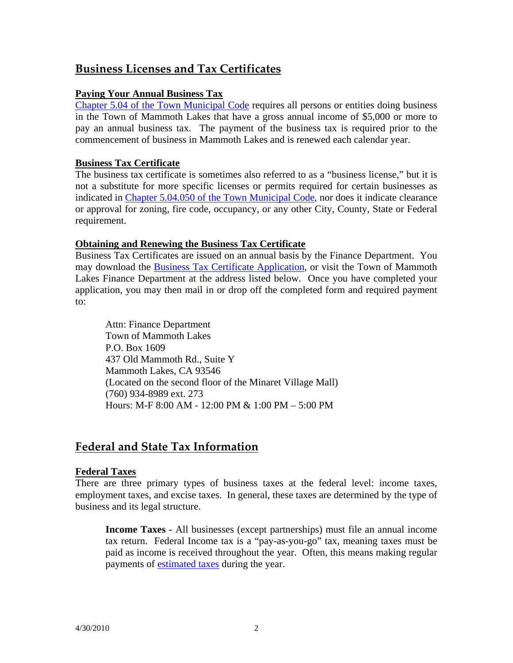## **Business Licenses and Tax Certificates**

#### **Paying Your Annual Business Tax**

[Chapter 5.04 of the Town Municipal Code](http://library.municode.com/HTML/16632/level2/T5_C5.04.html) requires all persons or entities doing business in the Town of Mammoth Lakes that have a gross annual income of \$5,000 or more to pay an annual business tax. The payment of the business tax is required prior to the commencement of business in Mammoth Lakes and is renewed each calendar year.

#### **Business Tax Certificate**

The business tax certificate is sometimes also referred to as a "business license," but it is not a substitute for more specific licenses or permits required for certain businesses as indicated in Chapter 5.04.050 of the Town Municipal Code, nor does it indicate clearance or approval for zoning, fire code, occupancy, or any other City, County, State or Federal requirement.

#### **Obtaining and Renewing the Business Tax Certificate**

Business Tax Certificates are issued on an annual basis by the Finance Department. You may download the [Business Tax Certificate Application,](http://ca-mammothlakes.civicplus.com/DocumentView.aspx?DID=19) or visit the Town of Mammoth Lakes Finance Department at the address listed below. Once you have completed your application, you may then mail in or drop off the completed form and required payment to:

Attn: Finance Department Town of Mammoth Lakes P.O. Box 1609 437 Old Mammoth Rd., Suite Y Mammoth Lakes, CA 93546 (Located on the second floor of the Minaret Village Mall) (760) 934-8989 ext. 273 Hours: M-F 8:00 AM - 12:00 PM & 1:00 PM – 5:00 PM

## **Federal and State Tax Information**

#### **Federal Taxes**

There are three primary types of business taxes at the federal level: income taxes, employment taxes, and excise taxes. In general, these taxes are determined by the type of business and its legal structure.

**Income Taxes -** All businesses (except partnerships) must file an annual income tax return. Federal Income tax is a "pay-as-you-go" tax, meaning taxes must be paid as income is received throughout the year. Often, this means making regular payments of [estimated taxes](http://www.irs.gov/businesses/small/article/0,,id=110413,00.html) during the year.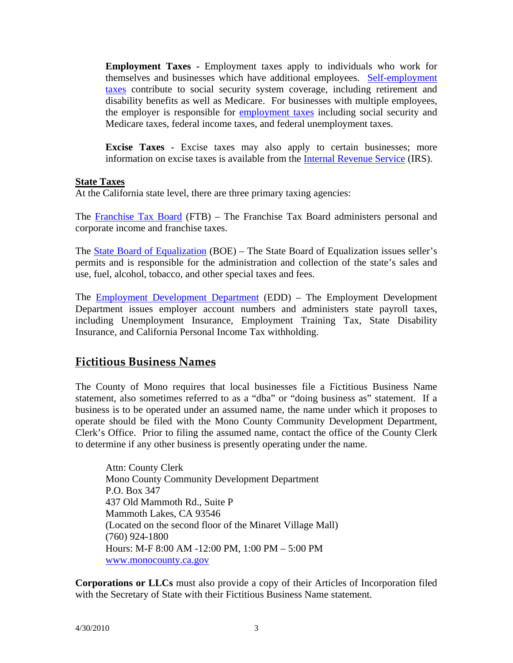**Employment Taxes -** Employment taxes apply to individuals who work for themselves and businesses which have additional employees. Self-employment [taxes](http://www.irs.gov/businesses/small/article/0,,id=98846,00.html) contribute to social security system coverage, including retirement and disability benefits as well as Medicare. For businesses with multiple employees, the employer is responsible for **[employment taxes](http://www.irs.gov/businesses/small/article/0,,id=172179,00.html)** including social security and Medicare taxes, federal income taxes, and federal unemployment taxes.

**Excise Taxes** - Excise taxes may also apply to certain businesses; more information on excise taxes is available from the [Internal Revenue Service](http://www.irs.gov/publications/p510/index.html) (IRS).

#### **State Taxes**

At the California state level, there are three primary taxing agencies:

The [Franchise Tax Board](http://www.ftb.ca.gov/) (FTB) – The Franchise Tax Board administers personal and corporate income and franchise taxes.

The [State Board of Equalization](http://www.boe.ca.gov/) (BOE) – The State Board of Equalization issues seller's permits and is responsible for the administration and collection of the state's sales and use, fuel, alcohol, tobacco, and other special taxes and fees.

The [Employment Development Department](http://www.edd.ca.gov/) (EDD) – The Employment Development Department issues employer account numbers and administers state payroll taxes, including Unemployment Insurance, Employment Training Tax, State Disability Insurance, and California Personal Income Tax withholding.

### **Fictitious Business Names**

The County of Mono requires that local businesses file a Fictitious Business Name statement, also sometimes referred to as a "dba" or "doing business as" statement. If a business is to be operated under an assumed name, the name under which it proposes to operate should be filed with the Mono County Community Development Department, Clerk's Office. Prior to filing the assumed name, contact the office of the County Clerk to determine if any other business is presently operating under the name.

Attn: County Clerk Mono County Community Development Department P.O. Box 347 437 Old Mammoth Rd., Suite P Mammoth Lakes, CA 93546 (Located on the second floor of the Minaret Village Mall) (760) 924-1800 Hours: M-F 8:00 AM -12:00 PM, 1:00 PM – 5:00 PM [www.monocounty.ca.gov](http://www.monocounty.ca.gov/)

**Corporations or LLCs** must also provide a copy of their Articles of Incorporation filed with the Secretary of State with their Fictitious Business Name statement.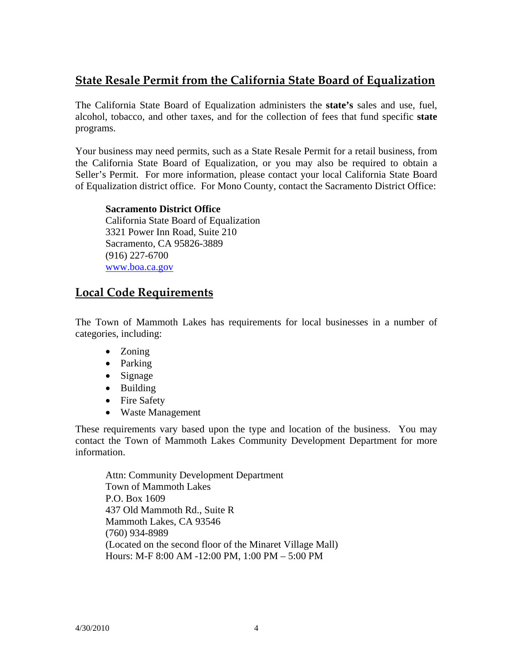## **State Resale Permit from the California State Board of Equalization**

The California State Board of Equalization administers the **state's** sales and use, fuel, alcohol, tobacco, and other taxes, and for the collection of fees that fund specific **state** programs.

Your business may need permits, such as a State Resale Permit for a retail business, from the California State Board of Equalization, or you may also be required to obtain a Seller's Permit. For more information, please contact your local California State Board of Equalization district office. For Mono County, contact the Sacramento District Office:

#### **Sacramento District Office**

California State Board of Equalization 3321 Power Inn Road, Suite 210 Sacramento, CA 95826-3889 (916) 227-6700 [www.boa.ca.gov](http://www.boa.ca.gov/)

## **Local Code Requirements**

The Town of Mammoth Lakes has requirements for local businesses in a number of categories, including:

- Zoning
- Parking
- Signage
- Building
- Fire Safety
- Waste Management

These requirements vary based upon the type and location of the business. You may contact the Town of Mammoth Lakes Community Development Department for more information.

Attn: Community Development Department Town of Mammoth Lakes P.O. Box 1609 437 Old Mammoth Rd., Suite R Mammoth Lakes, CA 93546 (760) 934-8989 (Located on the second floor of the Minaret Village Mall) Hours: M-F 8:00 AM -12:00 PM, 1:00 PM – 5:00 PM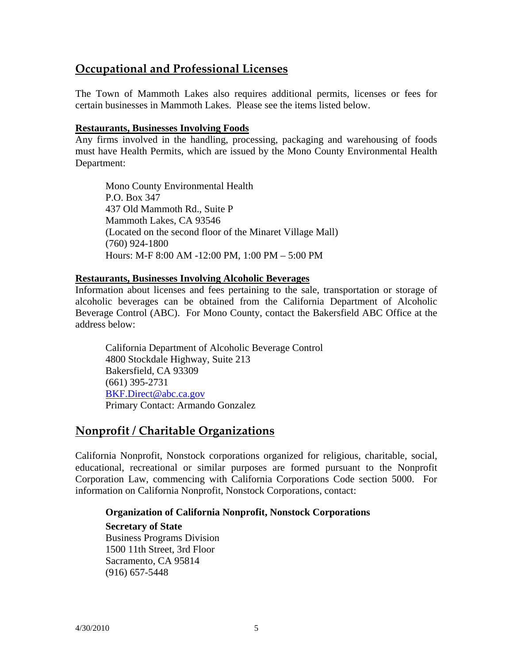## **Occupational and Professional Licenses**

The Town of Mammoth Lakes also requires additional permits, licenses or fees for certain businesses in Mammoth Lakes. Please see the items listed below.

#### **Restaurants, Businesses Involving Foods**

Any firms involved in the handling, processing, packaging and warehousing of foods must have Health Permits, which are issued by the Mono County Environmental Health Department:

Mono County Environmental Health P.O. Box 347 437 Old Mammoth Rd., Suite P Mammoth Lakes, CA 93546 (Located on the second floor of the Minaret Village Mall) (760) 924-1800 Hours: M-F 8:00 AM -12:00 PM, 1:00 PM – 5:00 PM

#### **Restaurants, Businesses Involving Alcoholic Beverages**

Information about licenses and fees pertaining to the sale, transportation or storage of alcoholic beverages can be obtained from the California Department of Alcoholic Beverage Control (ABC). For Mono County, contact the Bakersfield ABC Office at the address below:

California Department of Alcoholic Beverage Control 4800 Stockdale Highway, Suite 213 Bakersfield, CA 93309 (661) 395-2731 [BKF.Direct@abc.ca.gov](mailto:BKF.Direct@abc.ca.gov) Primary Contact: Armando Gonzalez

## **Nonprofit / Charitable Organizations**

California Nonprofit, Nonstock corporations organized for religious, charitable, social, educational, recreational or similar purposes are formed pursuant to the Nonprofit Corporation Law, commencing with California Corporations Code section 5000. For information on California Nonprofit, Nonstock Corporations, contact:

#### **Organization of California Nonprofit, Nonstock Corporations**

**Secretary of State** 

Business Programs Division 1500 11th Street, 3rd Floor Sacramento, CA 95814 (916) 657-5448